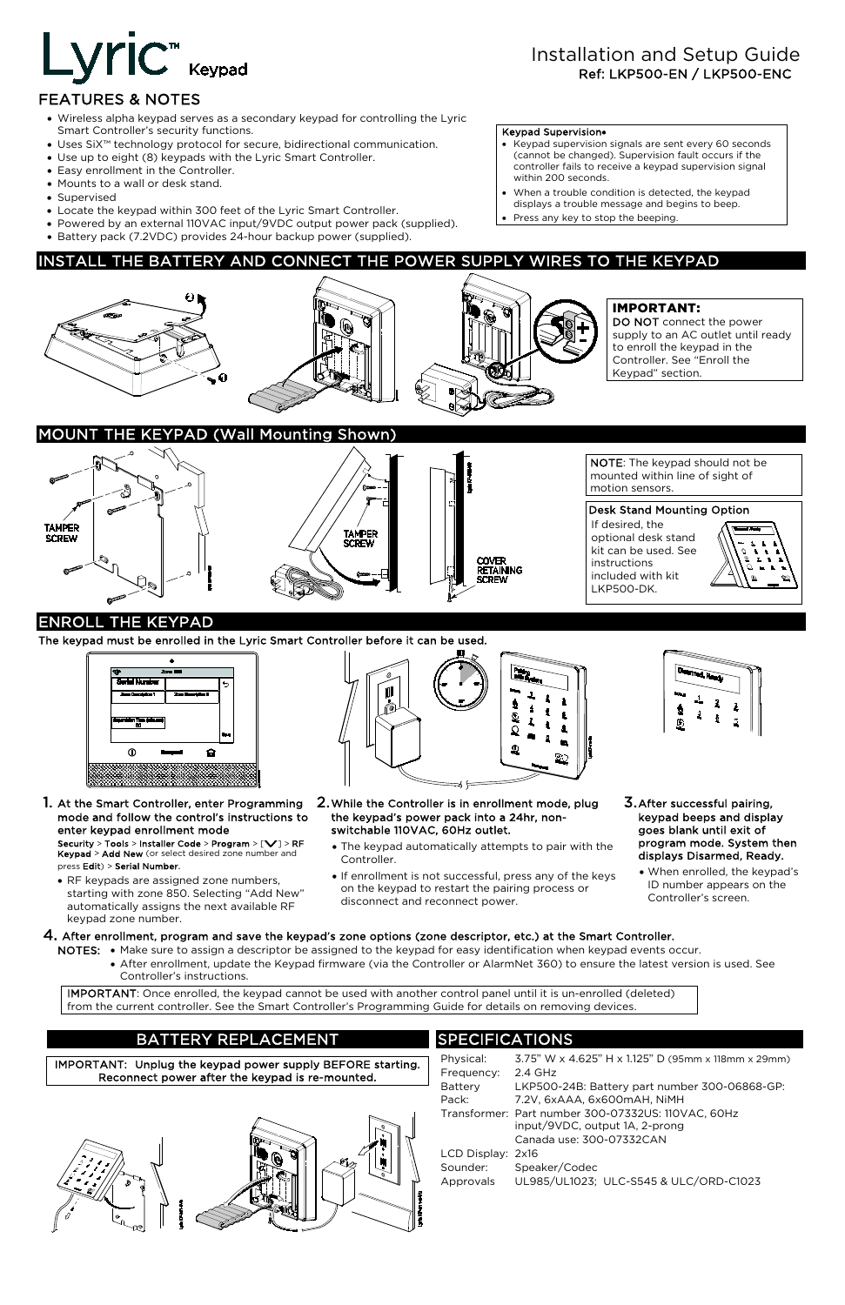# Installation and Setup Guide Ref: LKP500-EN / LKP500-ENC

# Lyric<sup>™</sup> Keypad

# FEATURES & NOTES

- Keypad supervision signals are sent every 60 seconds (cannot be changed). Supervision fault occurs if the controller fails to receive a keypad supervision signal within 200 seconds.
- When a trouble condition is detected, the keypad displays a trouble message and begins to beep.
- Press any key to stop the beeping.
- Wireless alpha keypad serves as a secondary keypad for controlling the Lyric Smart Controller's security functions.
- Uses SiX™ technology protocol for secure, bidirectional communication.
- Use up to eight (8) keypads with the Lyric Smart Controller.
- Easy enrollment in the Controller.
- Mounts to a wall or desk stand.
- Supervised
- Locate the keypad within 300 feet of the Lyric Smart Controller.
- Powered by an external 110VAC input/9VDC output power pack (supplied).
- Battery pack (7.2VDC) provides 24-hour backup power (supplied).

#### Keypad Supervision•

# INSTALL THE BATTERY AND CONNECT THE POWER SUPPLY WIRES TO THE KEYPAD



# IMPORTANT:

DO NOT connect the power supply to an AC outlet until ready to enroll the keypad in the Controller. See "Enroll the Keypad" section.

# **E KEYPAD (Wall Mounting Shown)**



NOTE: The keypad should not be mounted within line of sight of motion sensors.

#### Desk Stand Mounting Option

If desired, the optional desk stand kit can be used. See instructions included with kit LKP500-DK.



# ENROLL THE KEYPAD

The keypad must be enrolled in the Lyric Smart Controller before it can be used.



1. At the Smart Controller, enter Programming mode and follow the control's instructions to enter keypad enrollment mode

Security > Tools > Installer Code > Program > [V] > RF Keypad > Add New (or select desired zone number and press Edit) > Serial Number.

• RF keypads are assigned zone numbers, starting with zone 850. Selecting "Add New" automatically assigns the next available RF keypad zone number.



- 2. While the Controller is in enrollment mode, plug the keypad's power pack into a 24hr, nonswitchable 110VAC, 60Hz outlet.
	- The keypad automatically attempts to pair with the Controller.
	- If enrollment is not successful, press any of the keys on the keypad to restart the pairing process or disconnect and reconnect power.



- 3. After successful pairing, keypad beeps and display goes blank until exit of program mode. System then displays Disarmed, Ready.
	- When enrolled, the keypad's ID number appears on the Controller's screen.

# 4. After enrollment, program and save the keypad's zone options (zone descriptor, etc.) at the Smart Controller.

NOTES: • Make sure to assign a descriptor be assigned to the keypad for easy identification when keypad events occur.

 • After enrollment, update the Keypad firmware (via the Controller or AlarmNet 360) to ensure the latest version is used. See Controller's instructions.

IMPORTANT: Once enrolled, the keypad cannot be used with another control panel until it is un-enrolled (deleted) from the current controller. See the Smart Controller's Programming Guide for details on removing devices.

# BATTERY REPLACEMENT

IMPORTANT: Unplug the keypad power supply BEFORE starting. Reconnect power after the keypad is re-mounted.



# SPECIFICATIONS

| Physical:         | 3.75" W x 4.625" H x 1.125" D (95mm x 118mm x 29mm) |
|-------------------|-----------------------------------------------------|
| Frequency:        | $2.4$ GHz                                           |
| <b>Battery</b>    | LKP500-24B: Battery part number 300-06868-GP:       |
| Pack:             | 7.2V, 6xAAA, 6x600mAH, NiMH                         |
|                   | Transformer: Part number 300-07332US: 110VAC, 60Hz  |
|                   | input/9VDC, output 1A, 2-prong                      |
|                   | Canada use: 300-07332CAN                            |
| LCD Display: 2x16 |                                                     |
| Sounder:          | Speaker/Codec                                       |
| Approvals         | UL985/UL1023; ULC-S545 & ULC/ORD-C1023              |
|                   |                                                     |